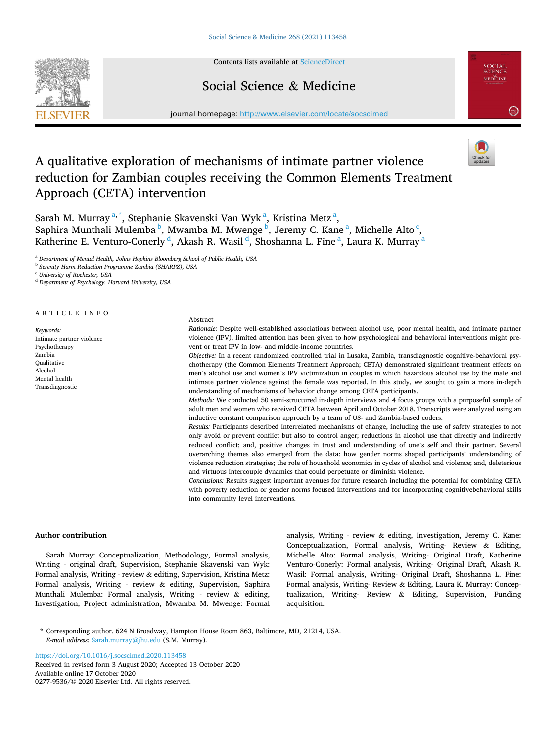Contents lists available at [ScienceDirect](www.sciencedirect.com/science/journal/02779536)







journal homepage: [http://www.elsevier.com/locate/socscimed](https://http://www.elsevier.com/locate/socscimed)



# A qualitative exploration of mechanisms of intimate partner violence reduction for Zambian couples receiving the Common Elements Treatment Approach (CETA) intervention

Sarah M. Murray<sup>a,\*</sup>, Stephanie Skavenski Van Wyk<sup>a</sup>, Kristina Metz<sup>a</sup>, Saphira Munthali Mulemba <sup>b</sup>, Mwamba M. Mwenge <sup>b</sup>, Jeremy C. Kane <sup>a</sup>, Michelle Alto <sup>c</sup>, Katherine E. Venturo-Conerly <sup>d</sup>, Akash R. Wasil <sup>d</sup>, Shoshanna L. Fine <sup>a</sup>, Laura K. Murray <sup>a</sup>

<sup>a</sup> *Department of Mental Health, Johns Hopkins Bloomberg School of Public Health, USA* 

<sup>b</sup> *Serenity Harm Reduction Programme Zambia (SHARPZ), USA* 

<sup>c</sup> *University of Rochester, USA* 

<sup>d</sup> *Department of Psychology, Harvard University, USA* 

#### ARTICLE INFO

*Keywords:*  Intimate partner violence Psychotherapy Zambia Qualitative Alcohol Mental health Transdiagnostic

#### Abstract

*Rationale:* Despite well-established associations between alcohol use, poor mental health, and intimate partner violence (IPV), limited attention has been given to how psychological and behavioral interventions might prevent or treat IPV in low- and middle-income countries.

*Objective:* In a recent randomized controlled trial in Lusaka, Zambia, transdiagnostic cognitive-behavioral psychotherapy (the Common Elements Treatment Approach; CETA) demonstrated significant treatment effects on men's alcohol use and women's IPV victimization in couples in which hazardous alcohol use by the male and intimate partner violence against the female was reported. In this study, we sought to gain a more in-depth understanding of mechanisms of behavior change among CETA participants.

*Methods:* We conducted 50 semi-structured in-depth interviews and 4 focus groups with a purposeful sample of adult men and women who received CETA between April and October 2018. Transcripts were analyzed using an inductive constant comparison approach by a team of US- and Zambia-based coders.

*Results:* Participants described interrelated mechanisms of change, including the use of safety strategies to not only avoid or prevent conflict but also to control anger; reductions in alcohol use that directly and indirectly reduced conflict; and, positive changes in trust and understanding of one's self and their partner. Several overarching themes also emerged from the data: how gender norms shaped participants' understanding of violence reduction strategies; the role of household economics in cycles of alcohol and violence; and, deleterious and virtuous intercouple dynamics that could perpetuate or diminish violence.

*Conclusions:* Results suggest important avenues for future research including the potential for combining CETA with poverty reduction or gender norms focused interventions and for incorporating cognitivebehavioral skills into community level interventions.

# **Author contribution**

Sarah Murray: Conceptualization, Methodology, Formal analysis, Writing - original draft, Supervision, Stephanie Skavenski van Wyk: Formal analysis, Writing - review & editing, Supervision, Kristina Metz: Formal analysis, Writing - review & editing, Supervision, Saphira Munthali Mulemba: Formal analysis, Writing - review & editing, Investigation, Project administration, Mwamba M. Mwenge: Formal

analysis, Writing - review & editing, Investigation, Jeremy C. Kane: Conceptualization, Formal analysis, Writing- Review & Editing, Michelle Alto: Formal analysis, Writing- Original Draft, Katherine Venturo-Conerly: Formal analysis, Writing- Original Draft, Akash R. Wasil: Formal analysis, Writing- Original Draft, Shoshanna L. Fine: Formal analysis, Writing- Review & Editing, Laura K. Murray: Conceptualization, Writing- Review & Editing, Supervision, Funding acquisition.

Available online 17 October 2020 0277-9536/© 2020 Elsevier Ltd. All rights reserved. <https://doi.org/10.1016/j.socscimed.2020.113458> Received in revised form 3 August 2020; Accepted 13 October 2020

<sup>\*</sup> Corresponding author. 624 N Broadway, Hampton House Room 863, Baltimore, MD, 21214, USA. *E-mail address:* [Sarah.murray@jhu.edu](mailto:Sarah.murray@jhu.edu) (S.M. Murray).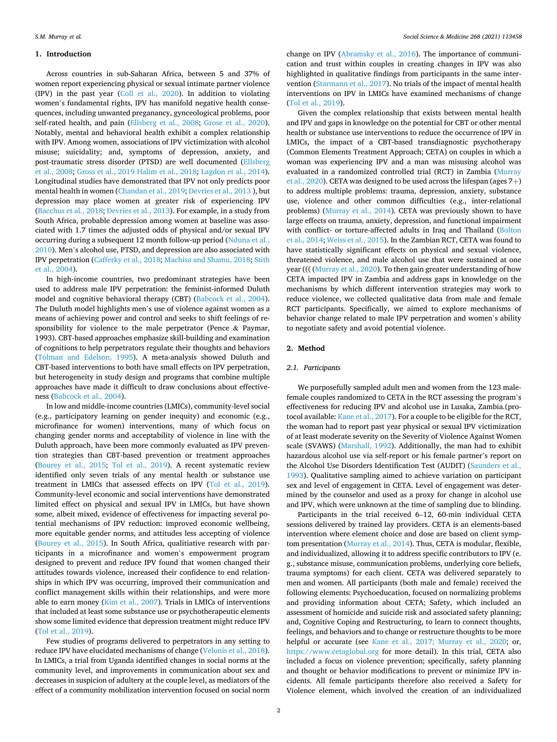#### **1. Introduction**

Across countries in sub-Saharan Africa, between 5 and 37% of women report experiencing physical or sexual intimate partner violence (IPV) in the past year ([Coll et al., 2020](#page-7-0)). In addition to violating women's fundamental rights, IPV has manifold negative health consequences, including unwanted preganancy, gynceological problems, poor self-rated health, and pain [\(Ellsberg et al., 2008;](#page-7-0) [Grose et al., 2020](#page-7-0)). Notably, mental and behavioral health exhibit a complex relationship with IPV. Among women, associations of IPV victimization with alcohol misuse; suicidality; and, symptoms of depression, anxiety, and post-traumatic stress disorder (PTSD) are well documented ([Ellsberg](#page-7-0)  [et al., 2008; Gross et al., 2019 Halim et al., 2018;](#page-7-0) [Lagdon et al., 2014](#page-8-0)). Longitudinal studies have demonstrated that IPV not only predicts poor mental health in women [\(Chandan et al., 2019](#page-7-0); [Devries et al., 2013](#page-7-0) ), but depression may place women at greater risk of experiencing IPV ([Bacchus et al., 2018](#page-7-0); [Devries et al., 2013\)](#page-7-0). For example, in a study from South Africa, probable depression among women at baseline was associated with 1.7 times the adjusted odds of physical and/or sexual IPV occurring during a subsequent 12 month follow-up period [\(Nduna et al.,](#page-8-0)  [2010\)](#page-8-0). Men's alcohol use, PTSD, and depression are also associated with IPV perpetration ([Cafferky et al., 2018;](#page-7-0) [Machisa and Shamu, 2018; Stith](#page-8-0)  [et al., 2004\)](#page-8-0).

In high-income countries, two predominant strategies have been used to address male IPV perpetration: the feminist-informed Duluth model and cognitive behavioral therapy (CBT) [\(Babcock et al., 2004](#page-7-0)). The Duluth model highlights men's use of violence against women as a means of achieving power and control and seeks to shift feelings of responsibility for violence to the male perpetrator (Pence & Paymar, 1993). CBT-based approaches emphasize skill-building and examination of cognitions to help perpetrators regulate their thoughts and behaviors ([Tolman and Edelson, 1995](#page-8-0)). A meta-analysis showed Duluth and CBT-based interventions to both have small effects on IPV perpetration, but heterogeneity in study design and programs that combine multiple approaches have made it difficult to draw conclusions about effectiveness ([Babcock et al., 2004\)](#page-7-0).

In low and middle-income countries (LMICs), community-level social (e.g., participatory learning on gender inequity) and economic (e.g., microfinance for women) interventions, many of which focus on changing gender norms and acceptability of violence in line with the Duluth approach, have been more commonly evaluated as IPV prevention strategies than CBT-based prevention or treatment approaches ([Bourey et al., 2015](#page-7-0); [Tol et al., 2019](#page-8-0)). A recent systematic review identified only seven trials of any mental health or substance use treatment in LMICs that assessed effects on IPV [\(Tol et al., 2019](#page-8-0)). Community-level economic and social interventions have demonstrated limited effect on physical and sexual IPV in LMICs, but have shown some, albeit mixed, evidence of effectiveness for impacting several potential mechanisms of IPV reduction: improved economic wellbeing, more equitable gender norms, and attitudes less accepting of violence ([Bourey et al., 2015](#page-7-0)). In South Africa, qualitiative research with participants in a microfinance and women's empowerment program designed to prevent and reduce IPV found that women changed their attitudes towards violence, increased their confidence to end relationships in which IPV was occurring, improved their communication and conflict management skills within their relationships, and were more able to earn money ([Kim et al., 2007\)](#page-8-0). Trials in LMICs of interventions that included at least some substance use or psychotherapeutic elements show some limited evidence that depression treatment might reduce IPV ([Tol et al., 2019\)](#page-8-0).

Few studies of programs delivered to perpetrators in any setting to reduce IPV have elucidated mechanisms of change ([Velonis et al., 2018](#page-8-0)). In LMICs, a trial from Uganda identified changes in social norms at the community level, and improvements in communication about sex and decreases in suspicion of adultery at the couple level, as mediators of the effect of a community mobilization intervention focused on social norm

change on IPV ([Abramsky et al., 2016\)](#page-7-0). The importance of communication and trust within couples in creating changes in IPV was also highlighted in qualitative findings from participants in the same intervention [\(Starmann et al., 2017](#page-8-0)). No trials of the impact of mental health interventions on IPV in LMICs have examined mechanisms of change ([Tol et al., 2019\)](#page-8-0).

Given the complex relationship that exists between mental health and IPV and gaps in knowledge on the potential for CBT or other mental health or substance use interventions to reduce the occurrence of IPV in LMICs, the impact of a CBT-based transdiagnostic psychotherapy (Common Elements Treatment Approach; CETA) on couples in which a woman was experiencing IPV and a man was misusing alcohol was evaluated in a randomized controlled trial (RCT) in Zambia ([Murray](#page-8-0)  [et al., 2020](#page-8-0)). CETA was designed to be used across the lifespan (ages 7+) to address multiple problems: trauma, depression, anxiety, substance use, violence and other common difficulties (e.g., inter-relational problems) [\(Murray et al., 2014](#page-8-0)). CETA was previously shown to have large effects on trauma, anxiety, depression, and functional impairment with conflict- or torture-affected adults in Iraq and Thailand (Bolton [et al., 2014;](#page-7-0) [Weiss et al., 2015\)](#page-8-0). In the Zambian RCT, CETA was found to have statistically significant effects on physical and sexual violence, threatened violence, and male alcohol use that were sustained at one year ((( [\(Murray et al., 2020](#page-8-0)). To then gain greater understanding of how CETA impacted IPV in Zambia and address gaps in knowledge on the mechanisms by which different intervention strategies may work to reduce violence, we collected qualitative data from male and female RCT participants. Specifically, we aimed to explore mechanisms of behavior change related to male IPV perpetration and women's ability to negotiate safety and avoid potential violence.

## **2. Method**

## *2.1. Participants*

We purposefully sampled adult men and women from the 123 malefemale couples randomized to CETA in the RCT assessing the program's effectiveness for reducing IPV and alcohol use in Lusaka, Zambia.(protocol available: [Kane et al., 2017](#page-8-0)). For a couple to be eligible for the RCT, the woman had to report past year physical or sexual IPV victimization of at least moderate severity on the Severity of Violence Against Women scale (SVAWS) ([Marshall, 1992](#page-8-0)). Additionally, the man had to exhibit hazardous alcohol use via self-report or his female partner's report on the Alcohol Use Disorders Identification Test (AUDIT) [\(Saunders et al.,](#page-8-0)  [1993\)](#page-8-0). Qualitative sampling aimed to achieve variation on participant sex and level of engagement in CETA. Level of engagement was determined by the counselor and used as a proxy for change in alcohol use and IPV, which were unknown at the time of sampling due to blinding.

Participants in the trial received 6–12, 60-min individual CETA sessions delivered by trained lay providers. CETA is an elements-based intervention where element choice and dose are based on client symptom presentation ([Murray et al., 2014](#page-8-0)). Thus, CETA is modular, flexible, and individualized, allowing it to address specific contributors to IPV (e. g., substance misuse, communication problems, underlying core beliefs, trauma symptoms) for each client. CETA was delivered separately to men and women. All participants (both male and female) received the following elements: Psychoeducation, focused on normalizing problems and providing information about CETA; Safety, which included an assessment of homicide and suicide risk and associated safety planning; and, Cognitive Coping and Restructuring, to learn to connect thoughts, feelings, and behaviors and to change or restructure thoughts to be more helpful or accurate (see [Kane et al., 2017; Murray et al., 2020;](#page-8-0) or, <https://www.cetaglobal.org> for more detail). In this trial, CETA also included a focus on violence prevention; specifically, safety planning and thought or behavior modifications to prevent or minimize IPV incidents. All female participants therefore also received a Safety for Violence element, which involved the creation of an individualized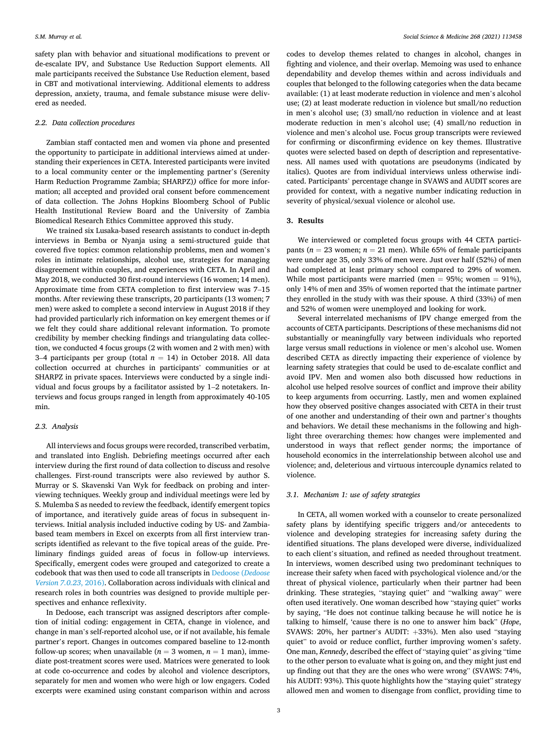safety plan with behavior and situational modifications to prevent or de-escalate IPV, and Substance Use Reduction Support elements. All male participants received the Substance Use Reduction element, based in CBT and motivational interviewing. Additional elements to address depression, anxiety, trauma, and female substance misuse were delivered as needed.

#### *2.2. Data collection procedures*

Zambian staff contacted men and women via phone and presented the opportunity to participate in additional interviews aimed at understanding their experiences in CETA. Interested participants were invited to a local community center or the implementing partner's (Serenity Harm Reduction Programme Zambia; SHARPZ)*)* office for more information; all accepted and provided oral consent before commencement of data collection. The Johns Hopkins Bloomberg School of Public Health Institutional Review Board and the University of Zambia Biomedical Research Ethics Committee approved this study.

We trained six Lusaka-based research assistants to conduct in-depth interviews in Bemba or Nyanja using a semi-structured guide that covered five topics: common relationship problems, men and women's roles in intimate relationships, alcohol use, strategies for managing disagreement within couples, and experiences with CETA. In April and May 2018, we conducted 30 first-round interviews (16 women; 14 men). Approximate time from CETA completion to first interview was 7–15 months. After reviewing these transcripts, 20 participants (13 women; 7 men) were asked to complete a second interview in August 2018 if they had provided particularly rich information on key emergent themes or if we felt they could share additional relevant information. To promote credibility by member checking findings and triangulating data collection, we conducted 4 focus groups (2 with women and 2 with men) with 3–4 participants per group (total  $n = 14$ ) in October 2018. All data collection occurred at churches in participants' communities or at SHARPZ in private spaces. Interviews were conducted by a single individual and focus groups by a facilitator assisted by 1–2 notetakers. Interviews and focus groups ranged in length from approximately 40-105 min.

# *2.3. Analysis*

All interviews and focus groups were recorded, transcribed verbatim, and translated into English. Debriefing meetings occurred after each interview during the first round of data collection to discuss and resolve challenges. First-round transcripts were also reviewed by author S. Murray or S. Skavenski Van Wyk for feedback on probing and interviewing techniques. Weekly group and individual meetings were led by S. Mulemba S as needed to review the feedback, identify emergent topics of importance, and iteratively guide areas of focus in subsequent interviews. Initial analysis included inductive coding by US- and Zambiabased team members in Excel on excerpts from all first interview transcripts identified as relevant to the five topical areas of the guide. Preliminary findings guided areas of focus in follow-up interviews. Specifically, emergent codes were grouped and categorized to create a codebook that was then used to code all transcripts in [Dedoose \(](#page-7-0)*Dedoose [Version 7.0.23](#page-7-0)*, 2016). Collaboration across individuals with clinical and research roles in both countries was designed to provide multiple perspectives and enhance reflexivity.

In Dedoose, each transcript was assigned descriptors after completion of initial coding: engagement in CETA, change in violence, and change in man's self-reported alcohol use, or if not available, his female partner's report. Changes in outcomes compared baseline to 12-month follow-up scores; when unavailable ( $n = 3$  women,  $n = 1$  man), immediate post-treatment scores were used. Matrices were generated to look at code co-occurrence and codes by alcohol and violence descriptors, separately for men and women who were high or low engagers. Coded excerpts were examined using constant comparison within and across

codes to develop themes related to changes in alcohol, changes in fighting and violence, and their overlap. Memoing was used to enhance dependability and develop themes within and across individuals and couples that belonged to the following categories when the data became available: (1) at least moderate reduction in violence and men's alcohol use; (2) at least moderate reduction in violence but small/no reduction in men's alcohol use; (3) small/no reduction in violence and at least moderate reduction in men's alcohol use; (4) small/no reduction in violence and men's alcohol use. Focus group transcripts were reviewed for confirming or disconfirming evidence on key themes. Illustrative quotes were selected based on depth of description and representativeness. All names used with quotations are pseudonyms (indicated by italics). Quotes are from individual interviews unless otherwise indicated. Participants' percentage change in SVAWS and AUDIT scores are provided for context, with a negative number indicating reduction in severity of physical/sexual violence or alcohol use.

# **3. Results**

We interviewed or completed focus groups with 44 CETA participants ( $n = 23$  women;  $n = 21$  men). While 65% of female participants were under age 35, only 33% of men were. Just over half (52%) of men had completed at least primary school compared to 29% of women. While most participants were married (men =  $95\%$ ; women =  $91\%$ ), only 14% of men and 35% of women reported that the intimate partner they enrolled in the study with was their spouse. A third (33%) of men and 52% of women were unemployed and looking for work.

Several interrelated mechanisms of IPV change emerged from the accounts of CETA participants. Descriptions of these mechanisms did not substantially or meaningfully vary between individuals who reported large versus small reductions in violence or men's alcohol use. Women described CETA as directly impacting their experience of violence by learning safety strategies that could be used to de-escalate conflict and avoid IPV. Men and women also both discussed how reductions in alcohol use helped resolve sources of conflict and improve their ability to keep arguments from occurring. Lastly, men and women explained how they observed positive changes associated with CETA in their trust of one another and understanding of their own and partner's thoughts and behaviors. We detail these mechanisms in the following and highlight three overarching themes: how changes were implemented and understood in ways that reflect gender norms; the importance of household economics in the interrelationship between alcohol use and violence; and, deleterious and virtuous intercouple dynamics related to violence.

# *3.1. Mechanism 1: use of safety strategies*

In CETA, all women worked with a counselor to create personalized safety plans by identifying specific triggers and/or antecedents to violence and developing strategies for increasing safety during the identified situations. The plans developed were diverse, individualized to each client's situation, and refined as needed throughout treatment. In interviews, women described using two predominant techniques to increase their safety when faced with psychological violence and/or the threat of physical violence, particularly when their partner had been drinking. These strategies, "staying quiet" and "walking away" were often used iteratively. One woman described how "staying quiet" works by saying, "He does not continue talking because he will notice he is talking to himself, 'cause there is no one to answer him back" (*Hope*, SVAWS: 20%, her partner's AUDIT: +33%). Men also used "staying quiet" to avoid or reduce conflict, further improving women's safety. One man, *Kennedy*, described the effect of "staying quiet" as giving "time to the other person to evaluate what is going on, and they might just end up finding out that they are the ones who were wrong" (SVAWS: 74%, his AUDIT: 93%). This quote highlights how the "staying quiet" strategy allowed men and women to disengage from conflict, providing time to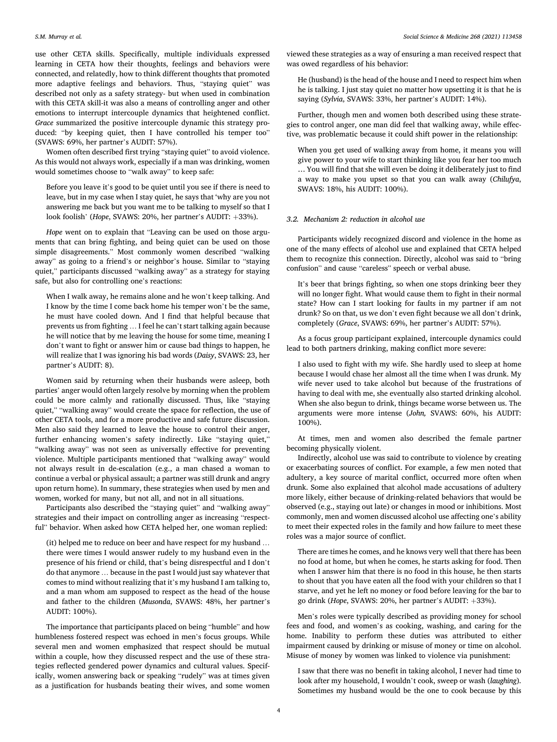use other CETA skills. Specifically, multiple individuals expressed learning in CETA how their thoughts, feelings and behaviors were connected, and relatedly, how to think different thoughts that promoted more adaptive feelings and behaviors. Thus, "staying quiet" was described not only as a safety strategy- but when used in combination with this CETA skill-it was also a means of controlling anger and other emotions to interrupt intercouple dynamics that heightened conflict. *Grace* summarized the positive intercouple dynamic this strategy produced: "by keeping quiet, then I have controlled his temper too" (SVAWS: 69%, her partner's AUDIT: 57%).

Women often described first trying "staying quiet" to avoid violence. As this would not always work, especially if a man was drinking, women would sometimes choose to "walk away" to keep safe:

Before you leave it's good to be quiet until you see if there is need to leave, but in my case when I stay quiet, he says that 'why are you not answering me back but you want me to be talking to myself so that I look foolish' (*Hope*, SVAWS: 20%, her partner's AUDIT: +33%).

*Hope* went on to explain that "Leaving can be used on those arguments that can bring fighting, and being quiet can be used on those simple disagreements." Most commonly women described "walking away" as going to a friend's or neighbor's house. Similar to "staying quiet," participants discussed "walking away" as a strategy for staying safe, but also for controlling one's reactions:

When I walk away, he remains alone and he won't keep talking. And I know by the time I come back home his temper won't be the same, he must have cooled down. And I find that helpful because that prevents us from fighting … I feel he can't start talking again because he will notice that by me leaving the house for some time, meaning I don't want to fight or answer him or cause bad things to happen, he will realize that I was ignoring his bad words (*Daisy*, SVAWS: 23, her partner's AUDIT: 8).

Women said by returning when their husbands were asleep, both parties' anger would often largely resolve by morning when the problem could be more calmly and rationally discussed. Thus, like "staying quiet," "walking away" would create the space for reflection, the use of other CETA tools, and for a more productive and safe future discussion. Men also said they learned to leave the house to control their anger, further enhancing women's safety indirectly. Like "staying quiet," "walking away" was not seen as universally effective for preventing violence. Multiple participants mentioned that "walking away" would not always result in de-escalation (e.g., a man chased a woman to continue a verbal or physical assault; a partner was still drunk and angry upon return home). In summary, these strategies when used by men and women, worked for many, but not all, and not in all situations.

Participants also described the "staying quiet" and "walking away" strategies and their impact on controlling anger as increasing "respectful" behavior. When asked how CETA helped her, one woman replied:

(it) helped me to reduce on beer and have respect for my husband … there were times I would answer rudely to my husband even in the presence of his friend or child, that's being disrespectful and I don't do that anymore … because in the past I would just say whatever that comes to mind without realizing that it's my husband I am talking to, and a man whom am supposed to respect as the head of the house and father to the children (*Musonda*, SVAWS: 48%, her partner's AUDIT: 100%).

The importance that participants placed on being "humble" and how humbleness fostered respect was echoed in men's focus groups. While several men and women emphasized that respect should be mutual within a couple, how they discussed respect and the use of these strategies reflected gendered power dynamics and cultural values. Specifically, women answering back or speaking "rudely" was at times given as a justification for husbands beating their wives, and some women viewed these strategies as a way of ensuring a man received respect that was owed regardless of his behavior:

He (husband) is the head of the house and I need to respect him when he is talking. I just stay quiet no matter how upsetting it is that he is saying (*Sylvia*, SVAWS: 33%, her partner's AUDIT: 14%).

Further, though men and women both described using these strategies to control anger, one man did feel that walking away, while effective, was problematic because it could shift power in the relationship:

When you get used of walking away from home, it means you will give power to your wife to start thinking like you fear her too much … You will find that she will even be doing it deliberately just to find a way to make you upset so that you can walk away (*Chilufya*, SWAVS: 18%, his AUDIT: 100%).

# *3.2. Mechanism 2: reduction in alcohol use*

Participants widely recognized discord and violence in the home as one of the many effects of alcohol use and explained that CETA helped them to recognize this connection. Directly, alcohol was said to "bring confusion" and cause "careless" speech or verbal abuse.

It's beer that brings fighting, so when one stops drinking beer they will no longer fight. What would cause them to fight in their normal state? How can I start looking for faults in my partner if am not drunk? So on that, us we don't even fight because we all don't drink, completely (*Grace*, SVAWS: 69%, her partner's AUDIT: 57%).

As a focus group participant explained, intercouple dynamics could lead to both partners drinking, making conflict more severe:

I also used to fight with my wife. She hardly used to sleep at home because I would chase her almost all the time when I was drunk. My wife never used to take alcohol but because of the frustrations of having to deal with me, she eventually also started drinking alcohol. When she also begun to drink, things became worse between us. The arguments were more intense (*John,* SVAWS: 60%, his AUDIT: 100%).

At times, men and women also described the female partner becoming physically violent.

Indirectly, alcohol use was said to contribute to violence by creating or exacerbating sources of conflict. For example, a few men noted that adultery, a key source of marital conflict, occurred more often when drunk. Some also explained that alcohol made accusations of adultery more likely, either because of drinking-related behaviors that would be observed (e.g., staying out late) or changes in mood or inhibitions. Most commonly, men and women discussed alcohol use affecting one's ability to meet their expected roles in the family and how failure to meet these roles was a major source of conflict.

There are times he comes, and he knows very well that there has been no food at home, but when he comes, he starts asking for food. Then when I answer him that there is no food in this house, he then starts to shout that you have eaten all the food with your children so that I starve, and yet he left no money or food before leaving for the bar to go drink (*Hope*, SVAWS: 20%, her partner's AUDIT: +33%).

Men's roles were typically described as providing money for school fees and food, and women's as cooking, washing, and caring for the home. Inability to perform these duties was attributed to either impairment caused by drinking or misuse of money or time on alcohol. Misuse of money by women was linked to violence via punishment:

I saw that there was no benefit in taking alcohol, I never had time to look after my household, I wouldn't cook, sweep or wash (*laughing*). Sometimes my husband would be the one to cook because by this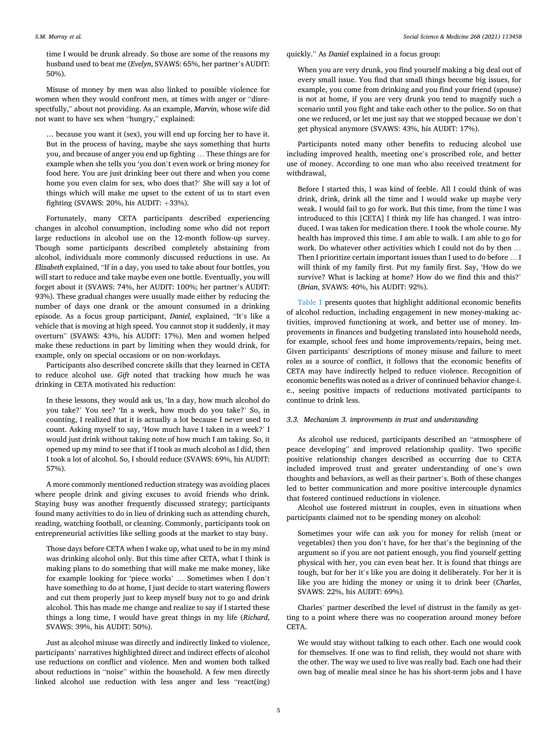#### *S.M. Murray et al.*

time I would be drunk already. So those are some of the reasons my husband used to beat me (*Evelyn*, SVAWS: 65%, her partner's AUDIT: 50%).

Misuse of money by men was also linked to possible violence for women when they would confront men, at times with anger or "disrespectfully," about not providing. As an example, *Marvin*, whose wife did not want to have sex when "hungry," explained:

… because you want it (sex), you will end up forcing her to have it. But in the process of having, maybe she says something that hurts you, and because of anger you end up fighting … These things are for example when she tells you 'you don't even work or bring money for food here. You are just drinking beer out there and when you come home you even claim for sex, who does that?' She will say a lot of things which will make me upset to the extent of us to start even fighting (SVAWS:  $20\%$ , his AUDIT:  $+33\%$ ).

Fortunately, many CETA participants described experiencing changes in alcohol consumption, including some who did not report large reductions in alcohol use on the 12-month follow-up survey. Though some participants described completely abstaining from alcohol, individuals more commonly discussed reductions in use. As *Elizabeth* explained, "If in a day, you used to take about four bottles, you will start to reduce and take maybe even one bottle. Eventually, you will forget about it (SVAWS: 74%, her AUDIT: 100%; her partner's AUDIT: 93%). These gradual changes were usually made either by reducing the number of days one drank or the amount consumed in a drinking episode. As a focus group participant, *Daniel,* explained, "It's like a vehicle that is moving at high speed. You cannot stop it suddenly, it may overturn" (SVAWS: 43%, his AUDIT: 17%). Men and women helped make these reductions in part by limiting when they would drink, for example, only on special occasions or on non-workdays.

Participants also described concrete skills that they learned in CETA to reduce alcohol use. *Gift* noted that tracking how much he was drinking in CETA motivated his reduction:

In these lessons, they would ask us, 'In a day, how much alcohol do you take?' You see? 'In a week, how much do you take?' So, in counting, I realized that it is actually a lot because I never used to count. Asking myself to say, 'How much have I taken in a week?' I would just drink without taking note of how much I am taking. So, it opened up my mind to see that if I took as much alcohol as I did, then I took a lot of alcohol. So, I should reduce (SVAWS: 69%, his AUDIT: 57%).

A more commonly mentioned reduction strategy was avoiding places where people drink and giving excuses to avoid friends who drink. Staying busy was another frequently discussed strategy; participants found many activities to do in lieu of drinking such as attending church, reading, watching football, or cleaning. Commonly, participants took on entrepreneurial activities like selling goods at the market to stay busy.

Those days before CETA when I wake up, what used to be in my mind was drinking alcohol only. But this time after CETA, what I think is making plans to do something that will make me make money, like for example looking for 'piece works' … Sometimes when I don't have something to do at home, I just decide to start watering flowers and cut them properly just to keep myself busy not to go and drink alcohol. This has made me change and realize to say if I started these things a long time, I would have great things in my life (*Richard*, SVAWS: 39%, his AUDIT: 50%).

Just as alcohol misuse was directly and indirectly linked to violence, participants' narratives highlighted direct and indirect effects of alcohol use reductions on conflict and violence. Men and women both talked about reductions in "noise" within the household. A few men directly linked alcohol use reduction with less anger and less "react(ing)

quickly." As *Daniel* explained in a focus group:

When you are very drunk, you find yourself making a big deal out of every small issue. You find that small things become big issues, for example, you come from drinking and you find your friend (spouse) is not at home, if you are very drunk you tend to magnify such a scenario until you fight and take each other to the police. So on that one we reduced, or let me just say that we stopped because we don't get physical anymore (SVAWS: 43%, his AUDIT: 17%).

Participants noted many other benefits to reducing alcohol use including improved health, meeting one's proscribed role, and better use of money. According to one man who also received treatment for withdrawal,

Before I started this, I was kind of feeble. All I could think of was drink, drink, drink all the time and I would wake up maybe very weak. I would fail to go for work. But this time, from the time I was introduced to this [CETA] I think my life has changed. I was introduced. I was taken for medication there. I took the whole course. My health has improved this time. I am able to walk. I am able to go for work. Do whatever other activities which I could not do by then … Then I prioritize certain important issues than I used to do before … I will think of my family first. Put my family first. Say, 'How do we survive? What is lacking at home? How do we find this and this?' (*Brian*, SVAWS: 40%, his AUDIT: 92%).

[Table 1](#page-5-0) presents quotes that highlight additional economic benefits of alcohol reduction, including engagement in new money-making activities, improved functioning at work, and better use of money. Improvements in finances and budgeting translated into household needs, for example, school fees and home improvements/repairs, being met. Given participants' descriptions of money misuse and failure to meet roles as a source of conflict, it follows that the economic benefits of CETA may have indirectly helped to reduce violence. Recognition of economic benefits was noted as a driver of continued behavior change-i. e., seeing positive impacts of reductions motivated participants to continue to drink less.

# *3.3. Mechanism 3. improvements in trust and understanding*

As alcohol use reduced, participants described an "atmosphere of peace developing" and improved relationship quality. Two specific positive relationship changes described as occurring due to CETA included improved trust and greater understanding of one's own thoughts and behaviors, as well as their partner's. Both of these changes led to better communication and more positive intercouple dynamics that fostered continued reductions in violence.

Alcohol use fostered mistrust in couples, even in situations when participants claimed not to be spending money on alcohol:

Sometimes your wife can ask you for money for relish (meat or vegetables) then you don't have, for her that's the beginning of the argument so if you are not patient enough, you find yourself getting physical with her, you can even beat her. It is found that things are tough, but for her it's like you are doing it deliberately. For her it is like you are hiding the money or using it to drink beer (*Charles*, SVAWS: 22%, his AUDIT: 69%).

Charles' partner described the level of distrust in the family as getting to a point where there was no cooperation around money before CETA.

We would stay without talking to each other. Each one would cook for themselves. If one was to find relish, they would not share with the other. The way we used to live was really bad. Each one had their own bag of mealie meal since he has his short-term jobs and I have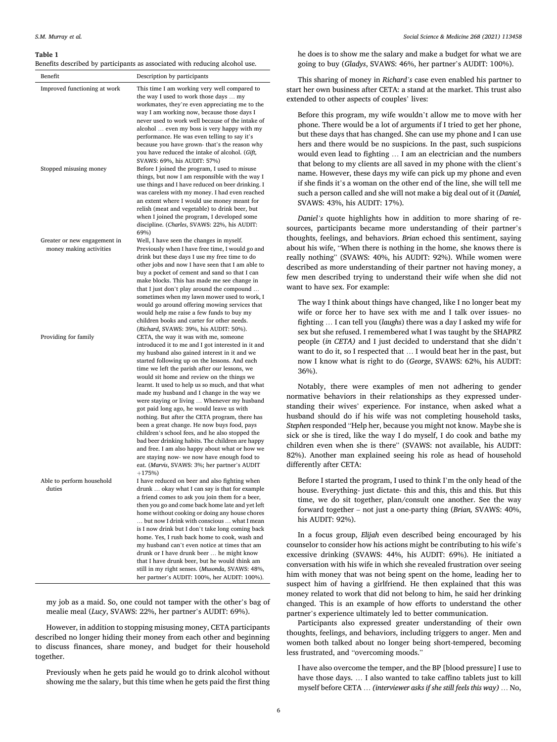#### <span id="page-5-0"></span>**Table 1**

Benefits described by participants as associated with reducing alcohol use.

| Benefit                                                 | Description by participants                                                                                                                                                                                                                                                                                                                                                                                                                                                                                                                                                                                                                                                                                                                                                                    |
|---------------------------------------------------------|------------------------------------------------------------------------------------------------------------------------------------------------------------------------------------------------------------------------------------------------------------------------------------------------------------------------------------------------------------------------------------------------------------------------------------------------------------------------------------------------------------------------------------------------------------------------------------------------------------------------------------------------------------------------------------------------------------------------------------------------------------------------------------------------|
| Improved functioning at work<br>Stopped misusing money  | This time I am working very well compared to<br>the way I used to work those days  my<br>workmates, they're even appreciating me to the<br>way I am working now, because those days I<br>never used to work well because of the intake of<br>alcohol  even my boss is very happy with my<br>performance. He was even telling to say it's<br>because you have grown- that's the reason why<br>you have reduced the intake of alcohol. (Gift,<br>SVAWS: 69%, his AUDIT: 57%)<br>Before I joined the program, I used to misuse<br>things, but now I am responsible with the way I<br>use things and I have reduced on beer drinking. I<br>was careless with my money. I had even reached<br>an extent where I would use money meant for                                                           |
|                                                         | relish (meat and vegetable) to drink beer, but<br>when I joined the program, I developed some<br>discipline. (Charles, SVAWS: 22%, his AUDIT:<br>69%)                                                                                                                                                                                                                                                                                                                                                                                                                                                                                                                                                                                                                                          |
| Greater or new engagement in<br>money making activities | Well, I have seen the changes in myself.<br>Previously when I have free time, I would go and<br>drink but these days I use my free time to do<br>other jobs and now I have seen that I am able to<br>buy a pocket of cement and sand so that I can<br>make blocks. This has made me see change in<br>that I just don't play around the compound<br>sometimes when my lawn mower used to work, I<br>would go around offering mowing services that<br>would help me raise a few funds to buy my<br>children books and carter for other needs.                                                                                                                                                                                                                                                    |
| Providing for family                                    | (Richard, SVAWS: 39%, his AUDIT: 50%).<br>CETA, the way it was with me, someone<br>introduced it to me and I got interested in it and<br>my husband also gained interest in it and we<br>started following up on the lessons. And each<br>time we left the parish after our lessons, we<br>would sit home and review on the things we<br>learnt. It used to help us so much, and that what<br>made my husband and I change in the way we<br>were staying or living  Whenever my husband<br>got paid long ago, he would leave us with<br>nothing. But after the CETA program, there has<br>been a great change. He now buys food, pays<br>children's school fees, and he also stopped the<br>bad beer drinking habits. The children are happy<br>and free. I am also happy about what or how we |
| Able to perform household<br>duties                     | are staying now- we now have enough food to<br>eat. (Marvis, SVAWS: 3%; her partner's AUDIT<br>$+175%$<br>I have reduced on beer and also fighting when<br>drunk  okay what I can say is that for example<br>a friend comes to ask you join them for a beer,<br>then you go and come back home late and yet left<br>home without cooking or doing any house chores<br>but now I drink with conscious  what I mean<br>is I now drink but I don't take long coming back<br>home. Yes, I rush back home to cook, wash and<br>my husband can't even notice at times that am<br>drunk or I have drunk beer  he might know<br>that I have drunk beer, but he would think am<br>still in my right senses. (Musonda, SVAWS: 48%,<br>her partner's AUDIT: 100%, her AUDIT: 100%).                       |

my job as a maid. So, one could not tamper with the other's bag of mealie meal (*Lucy*, SVAWS: 22%, her partner's AUDIT: 69%).

However, in addition to stopping misusing money, CETA participants described no longer hiding their money from each other and beginning to discuss finances, share money, and budget for their household together.

Previously when he gets paid he would go to drink alcohol without showing me the salary, but this time when he gets paid the first thing he does is to show me the salary and make a budget for what we are going to buy (*Gladys*, SVAWS: 46%, her partner's AUDIT: 100%).

This sharing of money in *Richard's* case even enabled his partner to start her own business after CETA: a stand at the market. This trust also extended to other aspects of couples' lives:

Before this program, my wife wouldn't allow me to move with her phone. There would be a lot of arguments if I tried to get her phone, but these days that has changed. She can use my phone and I can use hers and there would be no suspicions. In the past, such suspicions would even lead to fighting … I am an electrician and the numbers that belong to my clients are all saved in my phone with the client's name. However, these days my wife can pick up my phone and even if she finds it's a woman on the other end of the line, she will tell me such a person called and she will not make a big deal out of it (*Daniel,*  SVAWS: 43%, his AUDIT: 17%).

*Daniel*'s quote highlights how in addition to more sharing of resources, participants became more understanding of their partner's thoughts, feelings, and behaviors. *Brian* echoed this sentiment, saying about his wife, "When there is nothing in the home, she knows there is really nothing" (SVAWS: 40%, his AUDIT: 92%). While women were described as more understanding of their partner not having money, a few men described trying to understand their wife when she did not want to have sex. For example:

The way I think about things have changed, like I no longer beat my wife or force her to have sex with me and I talk over issues- no fighting … I can tell you (*laughs*) there was a day I asked my wife for sex but she refused. I remembered what I was taught by the SHAPRZ people (*in CETA)* and I just decided to understand that she didn't want to do it, so I respected that … I would beat her in the past, but now I know what is right to do (*George*, SVAWS: 62%, his AUDIT: 36%).

Notably, there were examples of men not adhering to gender normative behaviors in their relationships as they expressed understanding their wives' experience. For instance, when asked what a husband should do if his wife was not completing household tasks, *Stephen* responded "Help her, because you might not know. Maybe she is sick or she is tired, like the way I do myself, I do cook and bathe my children even when she is there" (SVAWS: not available, his AUDIT: 82%). Another man explained seeing his role as head of household differently after CETA:

Before I started the program, I used to think I'm the only head of the house. Everything- just dictate- this and this, this and this. But this time, we do sit together, plan/consult one another. See the way forward together – not just a one-party thing (*Brian,* SVAWS: 40%, his AUDIT: 92%).

In a focus group, *Elijah* even described being encouraged by his counselor to consider how his actions might be contributing to his wife's excessive drinking (SVAWS: 44%, his AUDIT: 69%). He initiated a conversation with his wife in which she revealed frustration over seeing him with money that was not being spent on the home, leading her to suspect him of having a girlfriend. He then explained that this was money related to work that did not belong to him, he said her drinking changed. This is an example of how efforts to understand the other partner's experience ultimately led to better communication.

Participants also expressed greater understanding of their own thoughts, feelings, and behaviors, including triggers to anger. Men and women both talked about no longer being short-tempered, becoming less frustrated, and "overcoming moods."

I have also overcome the temper, and the BP [blood pressure] I use to have those days. … I also wanted to take caffino tablets just to kill myself before CETA … *(interviewer asks if she still feels this way)* … No,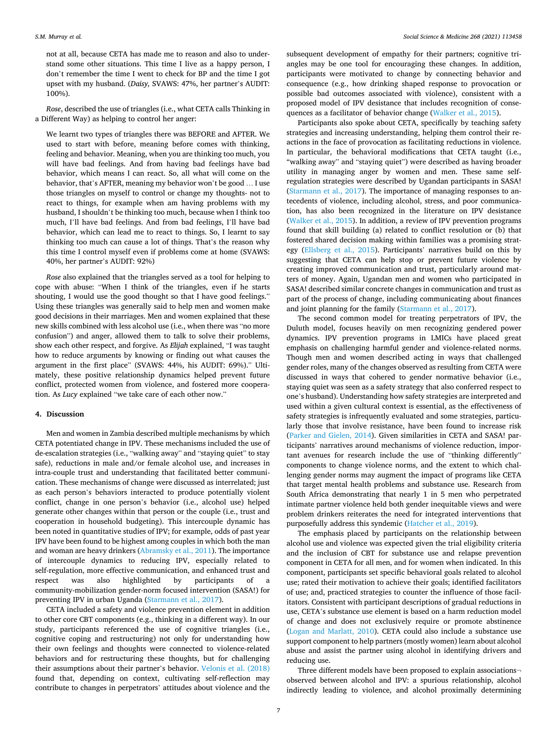not at all, because CETA has made me to reason and also to understand some other situations. This time I live as a happy person, I don't remember the time I went to check for BP and the time I got upset with my husband. (*Daisy,* SVAWS: 47%, her partner's AUDIT: 100%).

*Rose*, described the use of triangles (i.e., what CETA calls Thinking in a Different Way) as helping to control her anger:

We learnt two types of triangles there was BEFORE and AFTER. We used to start with before, meaning before comes with thinking, feeling and behavior. Meaning, when you are thinking too much, you will have bad feelings. And from having bad feelings have bad behavior, which means I can react. So, all what will come on the behavior, that's AFTER, meaning my behavior won't be good … I use those triangles on myself to control or change my thoughts- not to react to things, for example when am having problems with my husband, I shouldn't be thinking too much, because when I think too much, I'll have bad feelings. And from bad feelings, I'll have bad behavior, which can lead me to react to things. So, I learnt to say thinking too much can cause a lot of things. That's the reason why this time I control myself even if problems come at home (SVAWS: 40%, her partner's AUDIT: 92%)

*Rose* also explained that the triangles served as a tool for helping to cope with abuse: "When I think of the triangles, even if he starts shouting, I would use the good thought so that I have good feelings." Using these triangles was generally said to help men and women make good decisions in their marriages. Men and women explained that these new skills combined with less alcohol use (i.e., when there was "no more confusion") and anger, allowed them to talk to solve their problems, show each other respect, and forgive. As *Elijah* explained, "I was taught how to reduce arguments by knowing or finding out what causes the argument in the first place" (SVAWS: 44%, his AUDIT: 69%)." Ultimately, these positive relationship dynamics helped prevent future conflict, protected women from violence, and fostered more cooperation. As *Lucy* explained "we take care of each other now."

#### **4. Discussion**

Men and women in Zambia described multiple mechanisms by which CETA potentiated change in IPV. These mechanisms included the use of de-escalation strategies (i.e., "walking away" and "staying quiet" to stay safe), reductions in male and/or female alcohol use, and increases in intra-couple trust and understanding that facilitated better communication. These mechanisms of change were discussed as interrelated; just as each person's behaviors interacted to produce potentially violent conflict, change in one person's behavior (i.e., alcohol use) helped generate other changes within that person or the couple (i.e., trust and cooperation in household budgeting). This intercouple dynamic has been noted in quantitative studies of IPV; for example, odds of past year IPV have been found to be highest among couples in which both the man and woman are heavy drinkers ([Abramsky et al., 2011](#page-7-0)). The importance of intercouple dynamics to reducing IPV, especially related to self-regulation, more effective communication, and enhanced trust and respect was also highlighted by participants of a community-mobilization gender-norm focused intervention (SASA!) for preventing IPV in urban Uganda ([Starmann et al., 2017](#page-8-0)).

CETA included a safety and violence prevention element in addition to other core CBT components (e.g., thinking in a different way). In our study, participants referenced the use of cognitive triangles (i.e., cognitive coping and restructuring) not only for understanding how their own feelings and thoughts were connected to violence-related behaviors and for restructuring these thoughts, but for challenging their assumptions about their partner's behavior. [Velonis et al. \(2018\)](#page-8-0)  found that, depending on context, cultivating self-reflection may contribute to changes in perpetrators' attitudes about violence and the

subsequent development of empathy for their partners; cognitive triangles may be one tool for encouraging these changes. In addition, participants were motivated to change by connecting behavior and consequence (e.g., how drinking shaped response to provocation or possible bad outcomes associated with violence), consistent with a proposed model of IPV desistance that includes recognition of consequences as a facilitator of behavior change [\(Walker et al., 2015\)](#page-8-0).

Participants also spoke about CETA, specifically by teaching safety strategies and increasing understanding, helping them control their reactions in the face of provocation as facilitating reductions in violence. In particular, the behavioral modifications that CETA taught (i.e., "walking away" and "staying quiet") were described as having broader utility in managing anger by women and men. These same selfregulation strategies were described by Ugandan participants in SASA! ([Starmann et al., 2017\)](#page-8-0). The importance of managing responses to antecedents of violence, including alcohol, stress, and poor communication, has also been recognized in the literature on IPV desistance ([Walker et al., 2015\)](#page-8-0). In addition, a review of IPV prevention programs found that skill building (a) related to conflict resolution or (b) that fostered shared decision making within families was a promising strategy ([Ellsberg et al., 2015\)](#page-7-0). Participants' narratives build on this by suggesting that CETA can help stop or prevent future violence by creating improved communication and trust, particularly around matters of money. Again, Ugandan men and women who participated in SASA! described similar concrete changes in communication and trust as part of the process of change, including communicating about finances and joint planning for the family [\(Starmann et al., 2017\)](#page-8-0).

The second common model for treating perpetrators of IPV, the Duluth model, focuses heavily on men recognizing gendered power dynamics. IPV prevention programs in LMICs have placed great emphasis on challenging harmful gender and violence-related norms. Though men and women described acting in ways that challenged gender roles, many of the changes observed as resulting from CETA were discussed in ways that cohered to gender normative behavior (i.e., staying quiet was seen as a safety strategy that also conferred respect to one's husband). Understanding how safety strategies are interpreted and used within a given cultural context is essential, as the effectiveness of safety strategies is infrequently evaluated and some strategies, particularly those that involve resistance, have been found to increase risk ([Parker and Gielen, 2014](#page-8-0)). Given similarities in CETA and SASA! participants' narratives around mechanisms of violence reduction, important avenues for research include the use of "thinking differently" components to change violence norms, and the extent to which challenging gender norms may augment the impact of programs like CETA that target mental health problems and substance use. Research from South Africa demonstrating that nearly 1 in 5 men who perpetrated intimate partner violence held both gender inequitable views and were problem drinkers reiterates the need for integrated interventions that purposefully address this syndemic ([Hatcher et al., 2019](#page-8-0)).

The emphasis placed by participants on the relationship between alcohol use and violence was expected given the trial eligibility criteria and the inclusion of CBT for substance use and relapse prevention component in CETA for all men, and for women when indicated. In this component, participants set specific behavioral goals related to alcohol use; rated their motivation to achieve their goals; identified facilitators of use; and, practiced strategies to counter the influence of those facilitators. Consistent with participant descriptions of gradual reductions in use, CETA's substance use element is based on a harm reduction model of change and does not exclusively require or promote abstinence ([Logan and Marlatt, 2010](#page-8-0)). CETA could also include a substance use support component to help partners (mostly women) learn about alcohol abuse and assist the partner using alcohol in identifying drivers and reducing use.

Three different models have been proposed to explain associations observed between alcohol and IPV: a spurious relationship, alcohol indirectly leading to violence, and alcohol proximally determining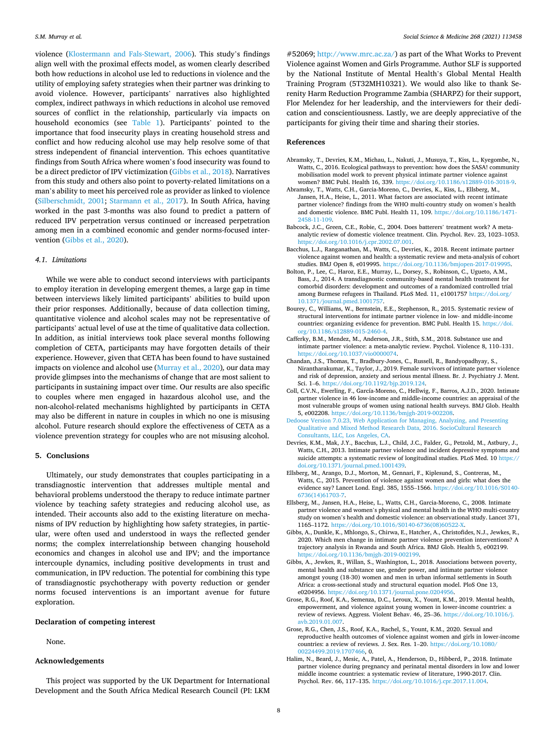<span id="page-7-0"></span>violence [\(Klostermann and Fals-Stewart, 2006\)](#page-8-0). This study's findings align well with the proximal effects model, as women clearly described both how reductions in alcohol use led to reductions in violence and the utility of employing safety strategies when their partner was drinking to avoid violence. However, participants' narratives also highlighted complex, indirect pathways in which reductions in alcohol use removed sources of conflict in the relationship, particularly via impacts on household economics (see [Table 1](#page-5-0)). Participants' pointed to the importance that food insecurity plays in creating household stress and conflict and how reducing alcohol use may help resolve some of that stress independent of financial intervention. This echoes quantitative findings from South Africa where women's food insecurity was found to be a direct predictor of IPV victimization (Gibbs et al., 2018). Narratives from this study and others also point to poverty-related limitations on a man's ability to meet his perceived role as provider as linked to violence ([Silberschmidt, 2001](#page-8-0); [Starmann et al., 2017](#page-8-0)). In South Africa, having worked in the past 3-months was also found to predict a pattern of reduced IPV perpetration versus continued or increased perpetration among men in a combined economic and gender norms-focused intervention (Gibbs et al., 2020).

#### *4.1. Limitations*

While we were able to conduct second interviews with participants to employ iteration in developing emergent themes, a large gap in time between interviews likely limited participants' abilities to build upon their prior responses. Additionally, because of data collection timing, quantitative violence and alcohol scales may not be representative of participants' actual level of use at the time of qualitative data collection. In addition, as initial interviews took place several months following completion of CETA, participants may have forgotten details of their experience. However, given that CETA has been found to have sustained impacts on violence and alcohol use [\(Murray et al., 2020](#page-8-0))*,* our data may provide glimpses into the mechanisms of change that are most salient to participants in sustaining impact over time. Our results are also specific to couples where men engaged in hazardous alcohol use, and the non-alcohol-related mechanisms highlighted by participants in CETA may also be different in nature in couples in which no one is misusing alcohol. Future research should explore the effectiveness of CETA as a violence prevention strategy for couples who are not misusing alcohol.

# **5. Conclusions**

Ultimately, our study demonstrates that couples participating in a transdiagnostic intervention that addresses multiple mental and behavioral problems understood the therapy to reduce intimate partner violence by teaching safety strategies and reducing alcohol use, as intended. Their accounts also add to the existing literature on mechanisms of IPV reduction by highlighting how safety strategies, in particular, were often used and understood in ways the reflected gender norms; the complex interrelationship between changing household economics and changes in alcohol use and IPV; and the importance intercouple dynamics, including positive developments in trust and communication, in IPV reduction. The potential for combining this type of transdiagnostic psychotherapy with poverty reduction or gender norms focused interventions is an important avenue for future exploration.

#### **Declaration of competing interest**

None.

# **Acknowledgements**

This project was supported by the UK Department for International Development and the South Africa Medical Research Council (PI: LKM

#52069;<http://www.mrc.ac.za/>) as part of the What Works to Prevent Violence against Women and Girls Programme. Author SLF is supported by the National Institute of Mental Health's Global Mental Health Training Program (5T32MH10321). We would also like to thank Serenity Harm Reduction Programme Zambia (SHARPZ) for their support, Flor Melendez for her leadership, and the interviewers for their dedication and conscientiousness. Lastly, we are deeply appreciative of the participants for giving their time and sharing their stories.

#### **References**

- Abramsky, T., Devries, K.M., Michau, L., Nakuti, J., Musuya, T., Kiss, L., Kyegombe, N., Watts, C., 2016. Ecological pathways to prevention: how does the SASA! community mobilisation model work to prevent physical intimate partner violence against women? BMC Publ. Health 16, 339.<https://doi.org/10.1186/s12889-016-3018-9>.
- Abramsky, T., Watts, C.H., Garcia-Moreno, C., Devries, K., Kiss, L., Ellsberg, M., Jansen, H.A., Heise, L., 2011. What factors are associated with recent intimate partner violence? findings from the WHO multi-country study on women's health and domestic violence. BMC Publ. Health 11, 109. [https://doi.org/10.1186/1471-](https://doi.org/10.1186/1471-2458-11-109) [2458-11-109.](https://doi.org/10.1186/1471-2458-11-109)
- Babcock, J.C., Green, C.E., Robie, C., 2004. Does batterers' treatment work? A metaanalytic review of domestic violence treatment. Clin. Psychol. Rev. 23, 1023–1053. [https://doi.org/10.1016/j.cpr.2002.07.001.](https://doi.org/10.1016/j.cpr.2002.07.001)
- Bacchus, L.J., Ranganathan, M., Watts, C., Devries, K., 2018. Recent intimate partner violence against women and health: a systematic review and meta-analysis of cohort studies. BMJ Open 8, e019995. <https://doi.org/10.1136/bmjopen-2017-019995>.
- Bolton, P., Lee, C., Haroz, E.E., Murray, L., Dorsey, S., Robinson, C., Ugueto, A.M., Bass, J., 2014. A transdiagnostic community-based mental health treatment for comorbid disorders: development and outcomes of a randomized controlled trial among Burmese refugees in Thailand. PLoS Med. 11, e1001757 [https://doi.org/](https://doi.org/10.1371/journal.pmed.1001757) [10.1371/journal.pmed.1001757.](https://doi.org/10.1371/journal.pmed.1001757)
- Bourey, C., Williams, W., Bernstein, E.E., Stephenson, R., 2015. Systematic review of structural interventions for intimate partner violence in low- and middle-income countries: organizing evidence for prevention. BMC Publ. Health 15. [https://doi.](https://doi.org/10.1186/s12889-015-2460-4) [org/10.1186/s12889-015-2460-4.](https://doi.org/10.1186/s12889-015-2460-4)
- Cafferky, B.M., Mendez, M., Anderson, J.R., Stith, S.M., 2018. Substance use and intimate partner violence: a meta-analytic review. Psychol. Violence 8, 110–131. <https://doi.org/10.1037/vio0000074>.
- Chandan, J.S., Thomas, T., Bradbury-Jones, C., Russell, R., Bandyopadhyay, S., Nirantharakumar, K., Taylor, J., 2019. Female survivors of intimate partner violence and risk of depression, anxiety and serious mental illness. Br. J. Psychiatry J. Ment. Sci. 1–6. <https://doi.org/10.1192/bjp.2019.124>.
- Coll, C.V.N., Ewerling, F., García-Moreno, C., Hellwig, F., Barros, A.J.D., 2020. Intimate partner violence in 46 low-income and middle-income countries: an appraisal of the most vulnerable groups of women using national health surveys. BMJ Glob. Health 5, e002208. <https://doi.org/10.1136/bmjgh-2019-002208>.
- [Dedoose Version 7.0.23, Web Application for Managing, Analyzing, and Presenting](http://refhub.elsevier.com/S0277-9536(20)30677-8/sref10)  [Qualitative and Mixed Method Research Data, 2016. SocioCultural Research](http://refhub.elsevier.com/S0277-9536(20)30677-8/sref10) [Consultants, LLC, Los Angeles, CA.](http://refhub.elsevier.com/S0277-9536(20)30677-8/sref10)
- Devries, K.M., Mak, J.Y., Bacchus, L.J., Child, J.C., Falder, G., Petzold, M., Astbury, J., Watts, C.H., 2013. Intimate partner violence and incident depressive symptoms and suicide attempts: a systematic review of longitudinal studies. PLoS Med. 10 [https://](https://doi.org/10.1371/journal.pmed.1001439)  [doi.org/10.1371/journal.pmed.1001439.](https://doi.org/10.1371/journal.pmed.1001439)
- Ellsberg, M., Arango, D.J., Morton, M., Gennari, F., Kiplesund, S., Contreras, M., Watts, C., 2015. Prevention of violence against women and girls: what does the evidence say? Lancet Lond. Engl. 385, 1555–1566. [https://doi.org/10.1016/S0140-](https://doi.org/10.1016/S0140-6736(14)61703-7)  [6736\(14\)61703-7](https://doi.org/10.1016/S0140-6736(14)61703-7).
- Ellsberg, M., Jansen, H.A., Heise, L., Watts, C.H., Garcia-Moreno, C., 2008. Intimate partner violence and women's physical and mental health in the WHO multi-country study on women's health and domestic violence: an observational study. Lancet 371, 1165–1172. [https://doi.org/10.1016/S0140-6736\(08\)60522-X](https://doi.org/10.1016/S0140-6736(08)60522-X).
- Gibbs, A., Dunkle, K., Mhlongo, S., Chirwa, E., Hatcher, A., Christofides, N.J., Jewkes, R., 2020. Which men change in intimate partner violence prevention interventions? A trajectory analysis in Rwanda and South Africa. BMJ Glob. Health 5, e002199. <https://doi.org/10.1136/bmjgh-2019-002199>.
- Gibbs, A., Jewkes, R., Willan, S., Washington, L., 2018. Associations between poverty, mental health and substance use, gender power, and intimate partner violence amongst young (18-30) women and men in urban informal settlements in South Africa: a cross-sectional study and structural equation model. PloS One 13, e0204956. <https://doi.org/10.1371/journal.pone.0204956>.
- Grose, R.G., Roof, K.A., Semenza, D.C., Leroux, X., Yount, K.M., 2019. Mental health, empowerment, and violence against young women in lower-income countries: a review of reviews. Aggress. Violent Behav. 46, 25–36. [https://doi.org/10.1016/j.](https://doi.org/10.1016/j.avb.2019.01.007) [avb.2019.01.007](https://doi.org/10.1016/j.avb.2019.01.007).
- Grose, R.G., Chen, J.S., Roof, K.A., Rachel, S., Yount, K.M., 2020. Sexual and reproductive health outcomes of violence against women and girls in lower-income countries: a review of reviews. J. Sex. Res. 1–20. [https://doi.org/10.1080/](https://doi.org/10.1080/00224499.2019.1707466) [00224499.2019.1707466](https://doi.org/10.1080/00224499.2019.1707466), 0.
- Halim, N., Beard, J., Mesic, A., Patel, A., Henderson, D., Hibberd, P., 2018. Intimate partner violence during pregnancy and perinatal mental disorders in low and lower middle income countries: a systematic review of literature, 1990-2017. Clin. Psychol. Rev. 66, 117–135.<https://doi.org/10.1016/j.cpr.2017.11.004>.